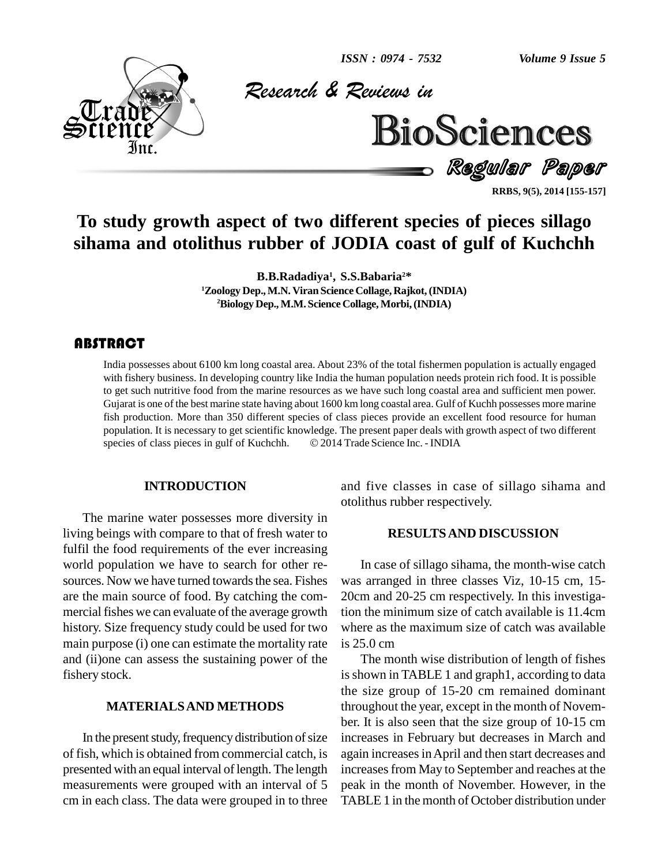

*& Reviews in*



Regular Paper

**RRBS, 9(5), 2014 [155-157]**

### **To study growth aspect of two different species of pieces sillago sihama and otolithus rubber of JODIA coast of gulf of Kuchchh**

**B.B.Radadiya 1 , S.S.Babaria <sup>2</sup>\* <sup>1</sup>Zoology Dep.,M.N. Viran Science Collage, Rajkot,(INDIA) <sup>2</sup>Biology Dep., M.M.Science Collage, Morbi,(INDIA)**

#### **ABSTRACT**

India possesses about  $\epsilon$ <br>with fishery business. I<br>to get such nutritive fo India possesses about 6100 km long coastal area. About 23% of the total fishermen population is actually engaged with fishery business. In developing country like India the human population needs protein rich food. It is possible to get such nutritive food from the marine resources as we have such long coastal area and sufficient men power. Gujarat is one of the best marine state having about 1600 km long coastal area. Gulf of Kuchh possesses more marine fish production. More than 350 different species of class pieces provide an excellent food resource for human population. It is necessary to get scientific knowledge. The present paper deals with growth aspect of two diffe population. It is necessary to get scientific knowledge. The present paper deals with growth aspect of two different

#### **INTRODUCTION**

The marine water possesses more diversity in living beings with compare to that of fresh water to fulfil the food requirements of the ever increasing world population we have to search for other re sources. Now we have turned towards the sea. Fishes are the main source of food. By catching the com mercial fishes we can evaluate of the average growth history. Size frequency study could be used for two main purpose (i) one can estimate the mortality rate and (ii)one can assess the sustaining power of the fishery stock.

#### **MATERIALSAND METHODS**

In the present study, frequency distribution of size of fish, which is obtained from commercial catch, is presented with an equal interval of length. The length measurements were grouped with an interval of 5 cm in each class. The data were grouped in to three and five classes in case of sillago sihama and otolithus rubber respectively.

#### **RESULTSAND DISCUSSION**

In case of sillago sihama, the month-wise catch was arranged in three classes Viz, 10-15 cm,15- 20cm and 20-25 cm respectively. In this investigation the minimum size of catch available is 11.4cm where as the maximum size of catch was available is 25.0 cm

The month wise distribution of length of fishes is shown in TABLE 1 and graph1, according to data the size group of 15-20 cm remained dominant throughout the year, except in the month of Novem ber. It is also seen that the size group of 10-15 cm increases in February but decreases in March and again increases in April and then start decreases and increases from May to September and reaches at the peak in the month of November. However, in the TABLE 1 in the month of October distribution under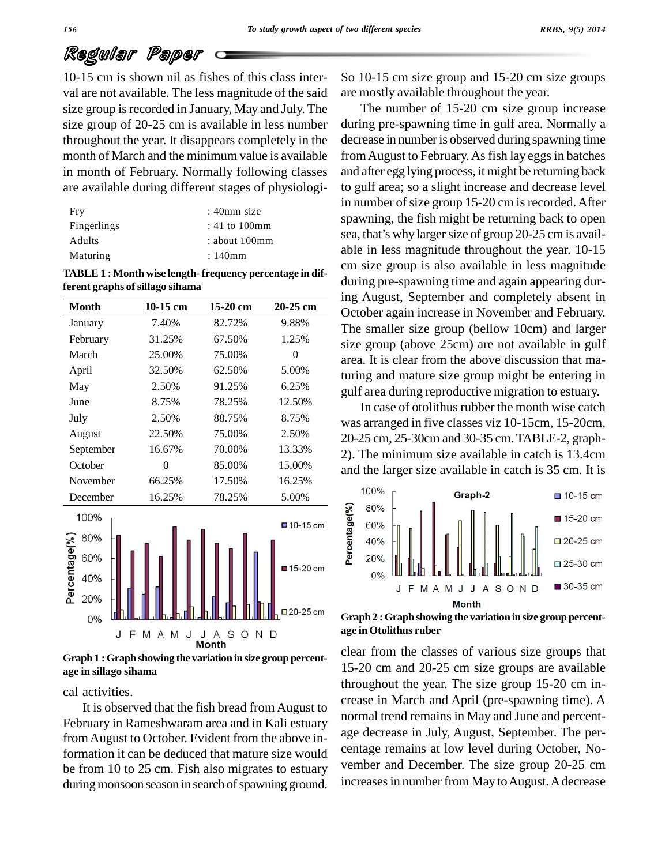## Regular Paper

10-15 cm is shown nil as fishes of this class inter val are not available. The less magnitude of the said size group is recorded in January, May and July. The size group of 20-25 cm is available in less number throughout the year. It disappears completely in the month of March and the minimum value is available in month of February. Normally following classes are available during different stages of physiologi-

| Fry           | $: 40$ mm size     |
|---------------|--------------------|
| Fingerlings   | $: 41$ to $100$ mm |
| <b>Adults</b> | about 100mm        |
| Maturing      | $:140$ mm          |

**TABLE 1 : Month wise length- frequency percentage in different graphs ofsillago sihama**

| <b>Month</b>        | 10-15 cm         | $15-20$ cm            | 20-25 cm                |
|---------------------|------------------|-----------------------|-------------------------|
|                     |                  |                       |                         |
| January             | 7.40%            | 82.72%                | 9.88%                   |
| February            | 31.25%           | 67.50%                | 1.25%                   |
| March               | 25.00%           | 75.00%                | $\theta$                |
| April               | 32.50%           | 62.50%                | 5.00%                   |
| May                 | 2.50%            | 91.25%                | 6.25%                   |
| June                | 8.75%            | 78.25%                | 12.50%                  |
| July                | 2.50%            | 88.75%                | 8.75%                   |
| August              | 22.50%           | 75.00%                | 2.50%                   |
| September           | 16.67%<br>70.00% |                       | 13.33%                  |
| October             | $\theta$         | 85.00%                | 15.00%                  |
| November            | 66.25%           | 17.50%                | 16.25%                  |
| December            | 16.25%           | 78.25%                | 5.00%                   |
|                     |                  |                       |                         |
| 100%                |                  |                       | $\blacksquare$ 10-15 cm |
| 80%                 |                  |                       |                         |
| 60%                 |                  |                       |                         |
| Percentage(%<br>40% |                  |                       | ■15-20 cm               |
| 20%                 |                  |                       |                         |
| 0%                  |                  |                       | $\square$ 20-25 cm      |
| J<br>F              | M<br>A<br>M<br>J | S<br>N<br>O<br>J<br>A | D                       |
|                     |                  | Month                 |                         |

**Graph 1 :Graph showing the variation insize group percent age in sillago sihama**

cal activities.

It is observed that the fish bread fromAugust to February in Rameshwaram area and in Kali estuary fromAugust to October. Evident from the above information it can be deduced that mature size would be from 10 to 25 cm. Fish also migrates to estuary during monsoon season in search of spawning ground. So 10-15 cm size group and 15-20 cm size groups are mostly available throughout the year.

The number of 15-20 cm size group increase during pre-spawning time in gulf area. Normally a decrease in number is observed during spawning time from August to February. As fish lay eggs in batches and after egg lying process, it might be returning back to gulf area; so a slight increase and decrease level in number of size group 15-20 cm is recorded. After spawning, the fish might be returning back to open sea, that's why larger size of group 20-25 cm is available in less magnitude throughout the year. 10-15 cm size group is also available in less magnitude during pre-spawning time and again appearing during August, September and completely absent in October again increase in November and February. The smaller size group (bellow 10cm) and larger size group (above 25cm) are not available in gulf area. It is clear from the above discussion that maturing and mature size group might be entering in gulf area during reproductive migration to estuary.

In case of otolithus rubber the month wise catch was arranged in five classes viz 10-15cm, 15-20cm, 20-25 cm, 25-30cm and 30-35 cm.TABLE-2, graph- 2). The minimum size available in catch is 13.4cm and the larger size available in catch is 35 cm. It is



**Graph 2 :Graph showing the variation insize group percent age in Otolithus ruber**

clear from the classes of various size groups that 15-20 cm and 20-25 cm size groups are available throughout the year. The size group 15-20 cm in crease in March and April (pre-spawning time). A normal trend remains in May and June and percent age decrease in July, August, September. The per centage remains at low level during October, No vember and December. The size group 20-25 cm increases in number from May to August. A decrease